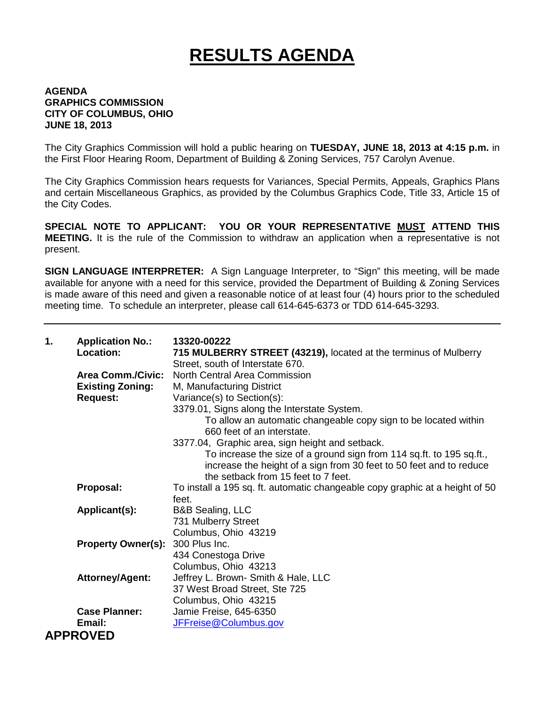## **RESULTS AGENDA**

## **AGENDA GRAPHICS COMMISSION CITY OF COLUMBUS, OHIO JUNE 18, 2013**

The City Graphics Commission will hold a public hearing on **TUESDAY, JUNE 18, 2013 at 4:15 p.m.** in the First Floor Hearing Room, Department of Building & Zoning Services, 757 Carolyn Avenue.

The City Graphics Commission hears requests for Variances, Special Permits, Appeals, Graphics Plans and certain Miscellaneous Graphics, as provided by the Columbus Graphics Code, Title 33, Article 15 of the City Codes.

**SPECIAL NOTE TO APPLICANT: YOU OR YOUR REPRESENTATIVE MUST ATTEND THIS MEETING.** It is the rule of the Commission to withdraw an application when a representative is not present.

**SIGN LANGUAGE INTERPRETER:** A Sign Language Interpreter, to "Sign" this meeting, will be made available for anyone with a need for this service, provided the Department of Building & Zoning Services is made aware of this need and given a reasonable notice of at least four (4) hours prior to the scheduled meeting time. To schedule an interpreter, please call 614-645-6373 or TDD 614-645-3293.

| 1. | <b>Application No.:</b><br>Location:                                   | 13320-00222<br>715 MULBERRY STREET (43219), located at the terminus of Mulberry<br>Street, south of Interstate 670.                                                                                                                   |
|----|------------------------------------------------------------------------|---------------------------------------------------------------------------------------------------------------------------------------------------------------------------------------------------------------------------------------|
|    | <b>Area Comm./Civic:</b><br><b>Existing Zoning:</b><br><b>Request:</b> | North Central Area Commission<br>M, Manufacturing District<br>Variance(s) to Section(s):<br>3379.01, Signs along the Interstate System.                                                                                               |
|    |                                                                        | To allow an automatic changeable copy sign to be located within<br>660 feet of an interstate.                                                                                                                                         |
|    |                                                                        | 3377.04, Graphic area, sign height and setback.<br>To increase the size of a ground sign from 114 sq.ft. to 195 sq.ft.,<br>increase the height of a sign from 30 feet to 50 feet and to reduce<br>the setback from 15 feet to 7 feet. |
|    | Proposal:                                                              | To install a 195 sq. ft. automatic changeable copy graphic at a height of 50<br>feet.                                                                                                                                                 |
|    | Applicant(s):                                                          | <b>B&amp;B Sealing, LLC</b><br>731 Mulberry Street<br>Columbus, Ohio 43219                                                                                                                                                            |
|    | Property Owner(s): 300 Plus Inc.                                       | 434 Conestoga Drive<br>Columbus, Ohio 43213                                                                                                                                                                                           |
|    | <b>Attorney/Agent:</b>                                                 | Jeffrey L. Brown- Smith & Hale, LLC<br>37 West Broad Street, Ste 725<br>Columbus, Ohio 43215                                                                                                                                          |
|    | <b>Case Planner:</b>                                                   | Jamie Freise, 645-6350                                                                                                                                                                                                                |
|    | Email:                                                                 | JFFreise@Columbus.gov                                                                                                                                                                                                                 |
|    | <b>APPROVED</b>                                                        |                                                                                                                                                                                                                                       |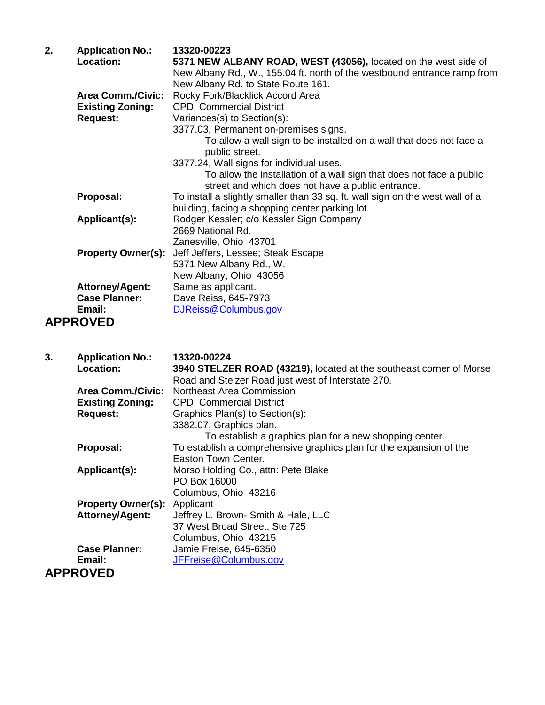| 2. | <b>Application No.:</b>   | 13320-00223                                                                   |
|----|---------------------------|-------------------------------------------------------------------------------|
|    | Location:                 | 5371 NEW ALBANY ROAD, WEST (43056), located on the west side of               |
|    |                           | New Albany Rd., W., 155.04 ft. north of the westbound entrance ramp from      |
|    |                           | New Albany Rd. to State Route 161.                                            |
|    | <b>Area Comm./Civic:</b>  | Rocky Fork/Blacklick Accord Area                                              |
|    | <b>Existing Zoning:</b>   | <b>CPD, Commercial District</b>                                               |
|    | <b>Request:</b>           | Variances(s) to Section(s):                                                   |
|    |                           | 3377.03, Permanent on-premises signs.                                         |
|    |                           | To allow a wall sign to be installed on a wall that does not face a           |
|    |                           | public street.                                                                |
|    |                           | 3377.24, Wall signs for individual uses.                                      |
|    |                           | To allow the installation of a wall sign that does not face a public          |
|    |                           | street and which does not have a public entrance.                             |
|    | Proposal:                 | To install a slightly smaller than 33 sq. ft. wall sign on the west wall of a |
|    |                           | building, facing a shopping center parking lot.                               |
|    | Applicant(s):             | Rodger Kessler; c/o Kessler Sign Company                                      |
|    |                           | 2669 National Rd.                                                             |
|    |                           | Zanesville, Ohio 43701                                                        |
|    | <b>Property Owner(s):</b> | Jeff Jeffers, Lessee; Steak Escape                                            |
|    |                           | 5371 New Albany Rd., W.                                                       |
|    |                           | New Albany, Ohio 43056                                                        |
|    | <b>Attorney/Agent:</b>    | Same as applicant.                                                            |
|    | <b>Case Planner:</b>      | Dave Reiss, 645-7973                                                          |
|    | Email:                    | DJReiss@Columbus.gov                                                          |
|    |                           |                                                                               |
|    | <b>APPROVED</b>           |                                                                               |

| 3. | <b>Application No.:</b>   | 13320-00224                                                         |
|----|---------------------------|---------------------------------------------------------------------|
|    | <b>Location:</b>          | 3940 STELZER ROAD (43219), located at the southeast corner of Morse |
|    |                           | Road and Stelzer Road just west of Interstate 270.                  |
|    | <b>Area Comm./Civic:</b>  | Northeast Area Commission                                           |
|    | <b>Existing Zoning:</b>   | <b>CPD, Commercial District</b>                                     |
|    | <b>Request:</b>           | Graphics Plan(s) to Section(s):                                     |
|    |                           | 3382.07, Graphics plan.                                             |
|    |                           | To establish a graphics plan for a new shopping center.             |
|    | Proposal:                 | To establish a comprehensive graphics plan for the expansion of the |
|    |                           | Easton Town Center.                                                 |
|    | Applicant(s):             | Morso Holding Co., attn: Pete Blake                                 |
|    |                           | PO Box 16000                                                        |
|    |                           | Columbus, Ohio 43216                                                |
|    | <b>Property Owner(s):</b> | Applicant                                                           |
|    | <b>Attorney/Agent:</b>    | Jeffrey L. Brown- Smith & Hale, LLC                                 |
|    |                           | 37 West Broad Street, Ste 725                                       |
|    |                           | Columbus, Ohio 43215                                                |
|    | <b>Case Planner:</b>      | Jamie Freise, 645-6350                                              |
|    | Email:                    | JFFreise@Columbus.gov                                               |
|    | <b>APPROVED</b>           |                                                                     |